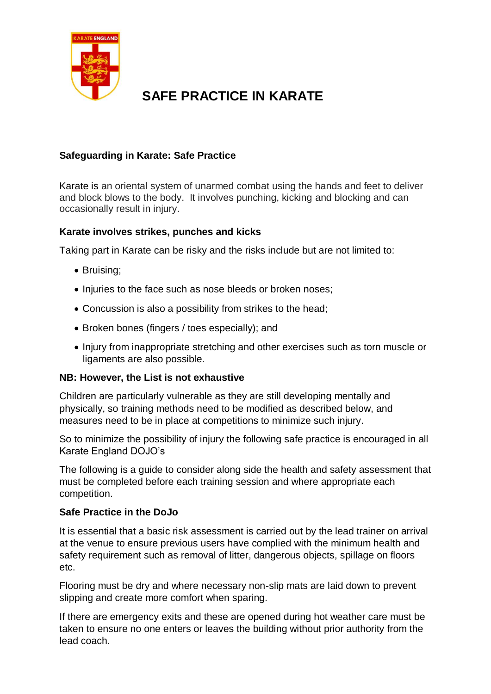

# **SAFE PRACTICE IN KARATE**

## **Safeguarding in Karate: Safe Practice**

Karate is an oriental system of unarmed combat using the hands and feet to deliver and block blows to the body. It involves punching, kicking and blocking and can occasionally result in injury.

### **Karate involves strikes, punches and kicks**

Taking part in Karate can be risky and the risks include but are not limited to:

- Bruising;
- Injuries to the face such as nose bleeds or broken noses;
- Concussion is also a possibility from strikes to the head;
- Broken bones (fingers / toes especially); and
- Injury from inappropriate stretching and other exercises such as torn muscle or ligaments are also possible.

#### **NB: However, the List is not exhaustive**

Children are particularly vulnerable as they are still developing mentally and physically, so training methods need to be modified as described below, and measures need to be in place at competitions to minimize such injury.

So to minimize the possibility of injury the following safe practice is encouraged in all Karate England DOJO's

The following is a guide to consider along side the health and safety assessment that must be completed before each training session and where appropriate each competition.

#### **Safe Practice in the DoJo**

It is essential that a basic risk assessment is carried out by the lead trainer on arrival at the venue to ensure previous users have complied with the minimum health and safety requirement such as removal of litter, dangerous objects, spillage on floors etc.

Flooring must be dry and where necessary non-slip mats are laid down to prevent slipping and create more comfort when sparing.

If there are emergency exits and these are opened during hot weather care must be taken to ensure no one enters or leaves the building without prior authority from the lead coach.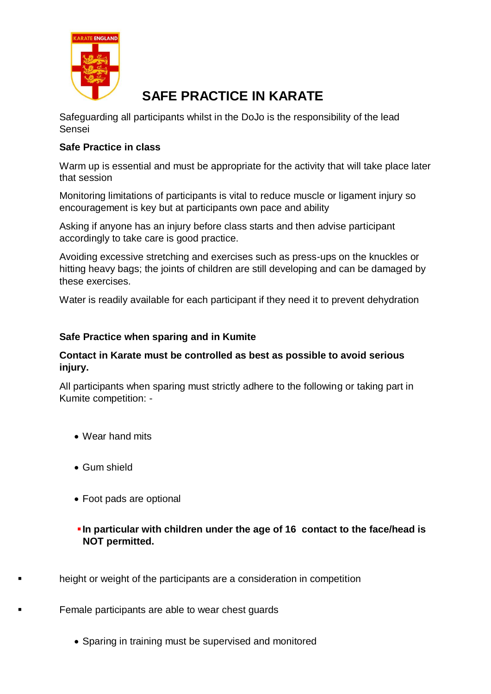

# **SAFE PRACTICE IN KARATE**

Safeguarding all participants whilst in the DoJo is the responsibility of the lead Sensei

## **Safe Practice in class**

Warm up is essential and must be appropriate for the activity that will take place later that session

Monitoring limitations of participants is vital to reduce muscle or ligament injury so encouragement is key but at participants own pace and ability

Asking if anyone has an injury before class starts and then advise participant accordingly to take care is good practice.

Avoiding excessive stretching and exercises such as press-ups on the knuckles or hitting heavy bags; the joints of children are still developing and can be damaged by these exercises.

Water is readily available for each participant if they need it to prevent dehydration

### **Safe Practice when sparing and in Kumite**

#### **Contact in Karate must be controlled as best as possible to avoid serious injury.**

All participants when sparing must strictly adhere to the following or taking part in Kumite competition: -

- Wear hand mits
- Gum shield
- Foot pads are optional
- **In particular with children under the age of 16 contact to the face/head is NOT permitted.**
- height or weight of the participants are a consideration in competition

Female participants are able to wear chest guards

• Sparing in training must be supervised and monitored